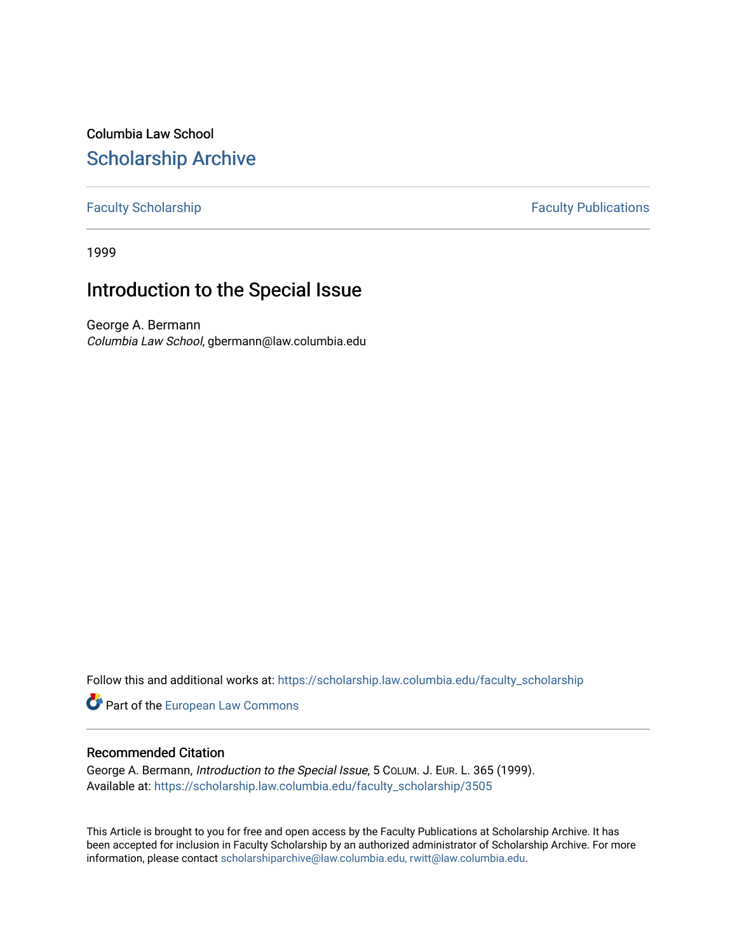Columbia Law School [Scholarship Archive](https://scholarship.law.columbia.edu/) 

### [Faculty Scholarship](https://scholarship.law.columbia.edu/faculty_scholarship) **Faculty Publications**

1999

# Introduction to the Special Issue

George A. Bermann Columbia Law School, gbermann@law.columbia.edu

Follow this and additional works at: [https://scholarship.law.columbia.edu/faculty\\_scholarship](https://scholarship.law.columbia.edu/faculty_scholarship?utm_source=scholarship.law.columbia.edu%2Ffaculty_scholarship%2F3505&utm_medium=PDF&utm_campaign=PDFCoverPages)

Part of the [European Law Commons](https://network.bepress.com/hgg/discipline/1084?utm_source=scholarship.law.columbia.edu%2Ffaculty_scholarship%2F3505&utm_medium=PDF&utm_campaign=PDFCoverPages) 

### Recommended Citation

George A. Bermann, Introduction to the Special Issue, 5 COLUM. J. EUR. L. 365 (1999). Available at: [https://scholarship.law.columbia.edu/faculty\\_scholarship/3505](https://scholarship.law.columbia.edu/faculty_scholarship/3505?utm_source=scholarship.law.columbia.edu%2Ffaculty_scholarship%2F3505&utm_medium=PDF&utm_campaign=PDFCoverPages)

This Article is brought to you for free and open access by the Faculty Publications at Scholarship Archive. It has been accepted for inclusion in Faculty Scholarship by an authorized administrator of Scholarship Archive. For more information, please contact [scholarshiparchive@law.columbia.edu, rwitt@law.columbia.edu](mailto:scholarshiparchive@law.columbia.edu,%20rwitt@law.columbia.edu).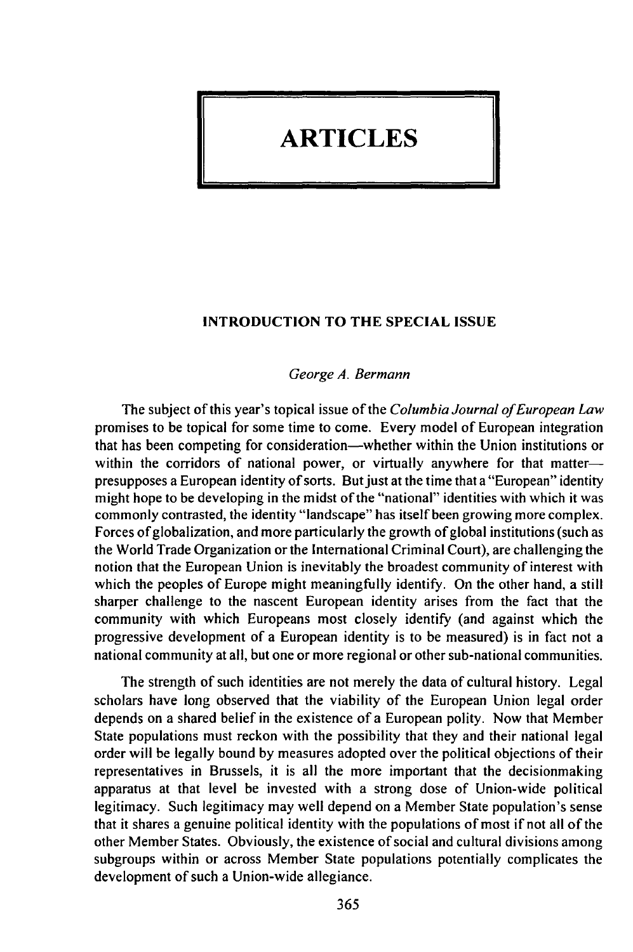## **ARTICLES**

#### **INTRODUCTION TO THE SPECIAL ISSUE**

#### *George A. Bermann*

The subject of this year's topical issue of the *Columbia Journal of European Law* promises to be topical for some time to come. Every model of European integration that has been competing for consideration-whether within the Union institutions or within the corridors of national power, or virtually anywhere for that matterpresupposes a European identity of sorts. But just at the time that a "European" identity might hope to be developing in the midst of the "national" identities with which it was commonly contrasted, the identity "landscape" has itself been growing more complex. Forces of globalization, and more particularly the growth of global institutions (such as the World Trade Organization or the International Criminal Court), are challenging the notion that the European Union is inevitably the broadest community of interest with which the peoples of Europe might meaningfully identify. On the other hand, a still sharper challenge to the nascent European identity arises from the fact that the community with which Europeans most closely identify (and against which the progressive development of a European identity is to be measured) is in fact not a national community at all, but one or more regional or other sub-national communities.

The strength of such identities are not merely the data of cultural history. Legal scholars have long observed that the viability of the European Union legal order depends on a shared belief in the existence of a European polity. Now that Member State populations must reckon with the possibility that they and their national legal order will be legally bound by measures adopted over the political objections of their representatives in Brussels, it is all the more important that the decisionmaking apparatus at that level be invested with a strong dose of Union-wide political legitimacy. Such legitimacy may well depend on a Member State population's sense that it shares a genuine political identity with the populations of most if not all of the other Member States. Obviously, the existence of social and cultural divisions among subgroups within or across Member State populations potentially complicates the development of such a Union-wide allegiance.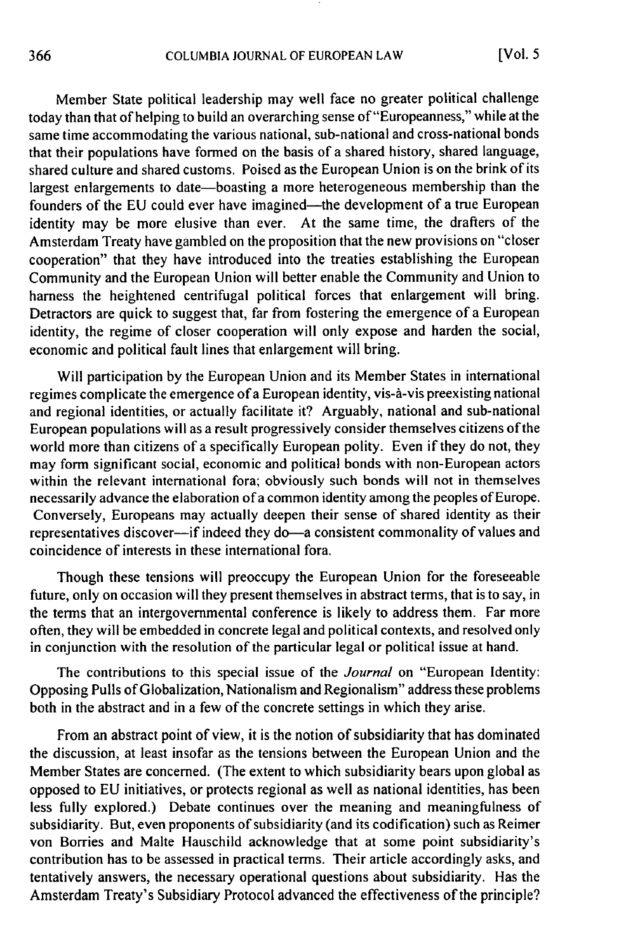Member State political leadership may well face no greater political challenge today than that of helping to build an overarching sense of"Europeanness," while at the same time accommodating the various national, sub-national and cross-national bonds that their populations have formed on the basis of a shared history, shared language, shared culture and shared customs. Poised as the European Union is on the brink of its largest enlargements to date-boasting a more heterogeneous membership than the founders of the EU could ever have imagined-the development of a true European identity may be more elusive than ever. At the same time, the drafters of the Amsterdam Treaty have gambled on the proposition that the new provisions on "closer cooperation" that they have introduced into the treaties establishing the European Community and the European Union will better enable the Community and Union to harness the heightened centrifugal political forces that enlargement will bring. Detractors are quick to suggest that, far from fostering the emergence of a European identity, the regime of closer cooperation will only expose and harden the social, economic and political fault lines that enlargement will bring.

Will participation by the European Union and its Member States in international regimes complicate the emergence of a European identity, vis-à-vis preexisting national and regional identities, or actually facilitate it? Arguably, national and sub-national European populations will as a result progressively consider themselves citizens of the world more than citizens of a specifically European polity. Even if they do not, they may form significant social, economic and political bonds with non-European actors within the relevant international fora; obviously such bonds will not in themselves necessarily advance the elaboration of a common identity among the peoples of Europe. Conversely, Europeans may actually deepen their sense of shared identity as their representatives discover-if indeed they do-a consistent commonality of values and coincidence of interests in these international fora.

Though these tensions will preoccupy the European Union for the foreseeable future, only on occasion will they present themselves in abstract terms, that is to say, in the terms that an intergovernmental conference is likely to address them. Far more often, they will be embedded in concrete legal and political contexts, and resolved only in conjunction with the resolution of the particular legal or political issue at hand.

The contributions to this special issue of the *Journal* on "European Identity: Opposing Pulls of Globalization, Nationalism and Regionalism" address these problems both in the abstract and in a few of the concrete settings in which they arise.

From an abstract point of view, it is the notion of subsidiarity that has dominated the discussion, at least insofar as the tensions between the European Union and the Member States are concerned. (The extent to which subsidiarity bears upon global as opposed to EU initiatives, or protects regional as well as national identities, has been less fully explored.) Debate continues over the meaning and meaningfulness of subsidiarity. But, even proponents of subsidiarity (and its codification) such as Reimer von Borries and Malte Hauschild acknowledge that at some point subsidiarity's contribution has to be assessed in practical terms. Their article accordingly asks, and tentatively answers, the necessary operational questions about subsidiarity. Has the Amsterdam Treaty's Subsidiary Protocol advanced the effectiveness of the principle?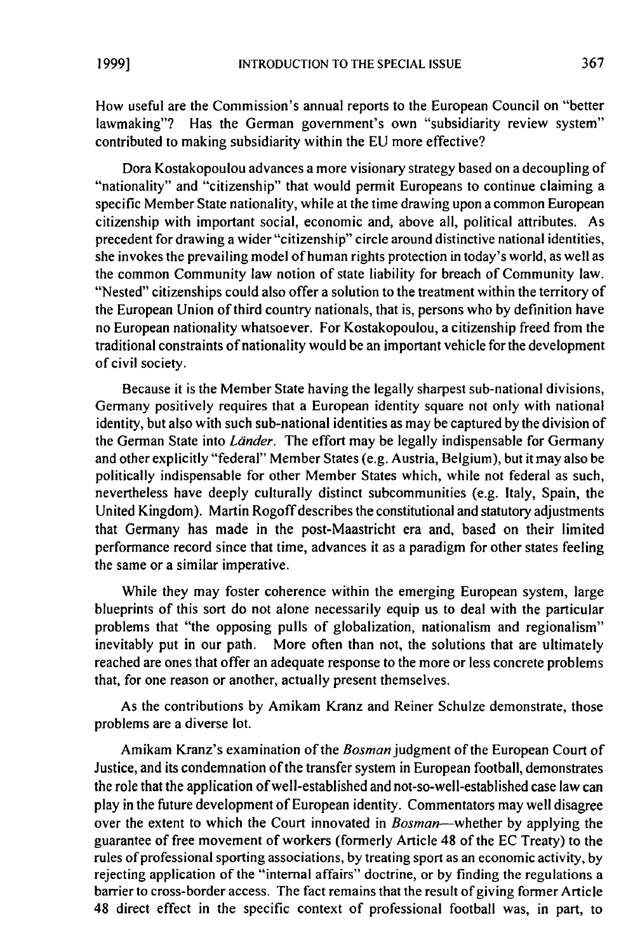How useful are the Commission's annual reports to the European Council on "better lawmaking"? Has the German government's own "subsidiarity review system" contributed to making subsidiarity within the EU more effective?

Dora Kostakopoulou advances a more visionary strategy based on a decoupling of "nationality" and "citizenship" that would permit Europeans to continue claiming a specific Member State nationality, while at the time drawing upon a common European citizenship with important social, economic and, above all, political attributes. As precedent for drawing a wider "citizenship" circle around distinctive national identities, she invokes the prevailing model of human rights protection in today's world, as well as the common Community law notion of state liability for breach of Community law. "Nested" citizenships could also offer a solution to the treatment within the territory of the European Union of third country nationals, that is, persons who by definition have no European nationality whatsoever. For Kostakopoulou, a citizenship freed from the traditional constraints of nationality would be an important vehicle for the development of civil society.

Because it is the Member State having the legally sharpest sub-national divisions, Germany positively requires that a European identity square not only with national identity, but also with such sub-national identities as may be captured by the division of the German State into Länder. The effort may be legally indispensable for Germany and other explicitly "federal" Member States (e.g. Austria, Belgium), but it may also be politically indispensable for other Member States which, while not federal as such, nevertheless have deeply culturally distinct subcommunities (e.g. Italy, Spain, the United Kingdom). Martin Rogoff describes the constitutional and statutory adjustments that Germany has made in the post-Maastricht era and, based on their limited performance record since that time, advances it as a paradigm for other states feeling the same or a similar imperative.

While they may foster coherence within the emerging European system, large blueprints of this sort do not alone necessarily equip us to deal with the particular problems that "the opposing pulls of globalization, nationalism and regionalism" inevitably put in our path. More often than not, the solutions that are ultimately reached are ones that offer an adequate response to the more or less concrete problems that, for one reason or another, actually present themselves.

As the contributions by Amikam Kranz and Reiner Schulze demonstrate, those problems are a diverse lot.

Amikam Kranz's examination of the Bosman judgment of the European Court of Justice, and its condemnation of the transfer system in European football, demonstrates the role that the application of well-established and not-so-well-established case law can play in the future development of European identity. Commentators may well disagree over the extent to which the Court innovated in Bosman-whether by applying the guarantee of free movement of workers (formerly Article 48 of the EC Treaty) to the rules of professional sporting associations, by treating sport as an economic activity, by rejecting application of the "internal affairs" doctrine, or by finding the regulations a barrier to cross-border access. The fact remains that the result of giving former Article 48 direct effect in the specific context of professional football was, in part, to